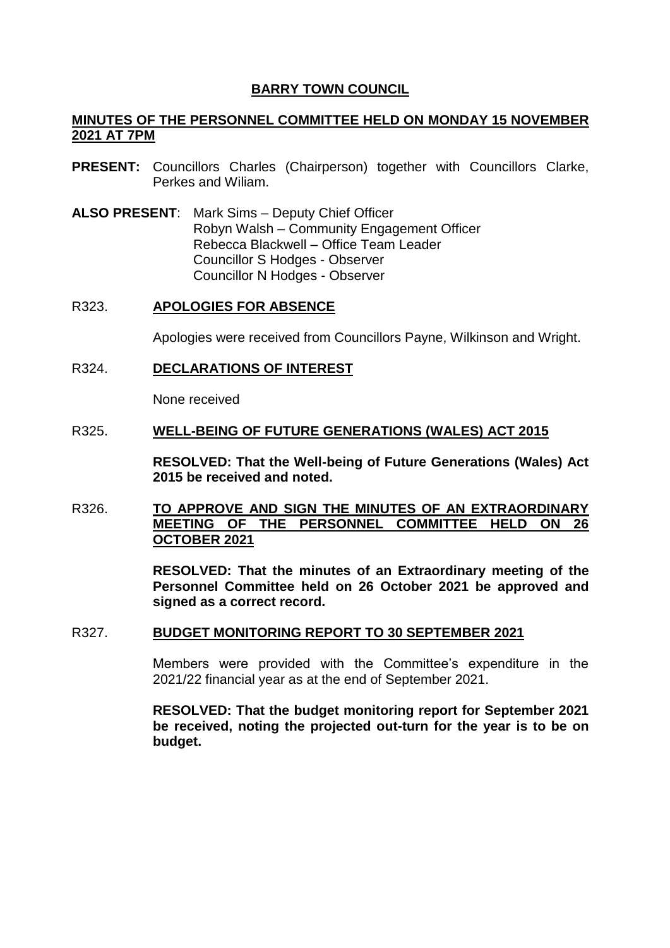# **BARRY TOWN COUNCIL**

# **MINUTES OF THE PERSONNEL COMMITTEE HELD ON MONDAY 15 NOVEMBER 2021 AT 7PM**

- **PRESENT:** Councillors Charles (Chairperson) together with Councillors Clarke, Perkes and Wiliam.
- **ALSO PRESENT**: Mark Sims Deputy Chief Officer Robyn Walsh – Community Engagement Officer Rebecca Blackwell – Office Team Leader Councillor S Hodges - Observer Councillor N Hodges - Observer

#### R323. **APOLOGIES FOR ABSENCE**

Apologies were received from Councillors Payne, Wilkinson and Wright.

R324. **DECLARATIONS OF INTEREST**

None received

# R325. **WELL-BEING OF FUTURE GENERATIONS (WALES) ACT 2015**

**RESOLVED: That the Well-being of Future Generations (Wales) Act 2015 be received and noted.**

# R326. **TO APPROVE AND SIGN THE MINUTES OF AN EXTRAORDINARY MEETING OF THE PERSONNEL COMMITTEE HELD ON 26 OCTOBER 2021**

**RESOLVED: That the minutes of an Extraordinary meeting of the Personnel Committee held on 26 October 2021 be approved and signed as a correct record.** 

## R327. **BUDGET MONITORING REPORT TO 30 SEPTEMBER 2021**

Members were provided with the Committee's expenditure in the 2021/22 financial year as at the end of September 2021.

**RESOLVED: That the budget monitoring report for September 2021 be received, noting the projected out-turn for the year is to be on budget.**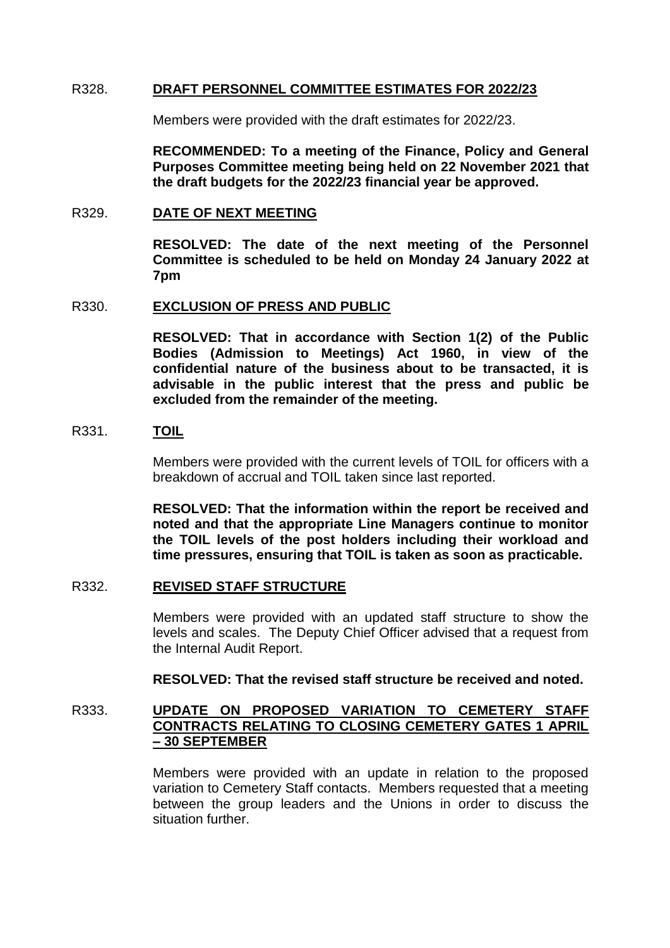## R328. **DRAFT PERSONNEL COMMITTEE ESTIMATES FOR 2022/23**

Members were provided with the draft estimates for 2022/23.

**RECOMMENDED: To a meeting of the Finance, Policy and General Purposes Committee meeting being held on 22 November 2021 that the draft budgets for the 2022/23 financial year be approved.**

#### R329. **DATE OF NEXT MEETING**

**RESOLVED: The date of the next meeting of the Personnel Committee is scheduled to be held on Monday 24 January 2022 at 7pm**

#### R330. **EXCLUSION OF PRESS AND PUBLIC**

**RESOLVED: That in accordance with Section 1(2) of the Public Bodies (Admission to Meetings) Act 1960, in view of the confidential nature of the business about to be transacted, it is advisable in the public interest that the press and public be excluded from the remainder of the meeting.** 

#### R331. **TOIL**

Members were provided with the current levels of TOIL for officers with a breakdown of accrual and TOIL taken since last reported.

**RESOLVED: That the information within the report be received and noted and that the appropriate Line Managers continue to monitor the TOIL levels of the post holders including their workload and time pressures, ensuring that TOIL is taken as soon as practicable.** 

## R332. **REVISED STAFF STRUCTURE**

Members were provided with an updated staff structure to show the levels and scales. The Deputy Chief Officer advised that a request from the Internal Audit Report.

#### **RESOLVED: That the revised staff structure be received and noted.**

# R333. **UPDATE ON PROPOSED VARIATION TO CEMETERY STAFF CONTRACTS RELATING TO CLOSING CEMETERY GATES 1 APRIL – 30 SEPTEMBER**

Members were provided with an update in relation to the proposed variation to Cemetery Staff contacts. Members requested that a meeting between the group leaders and the Unions in order to discuss the situation further.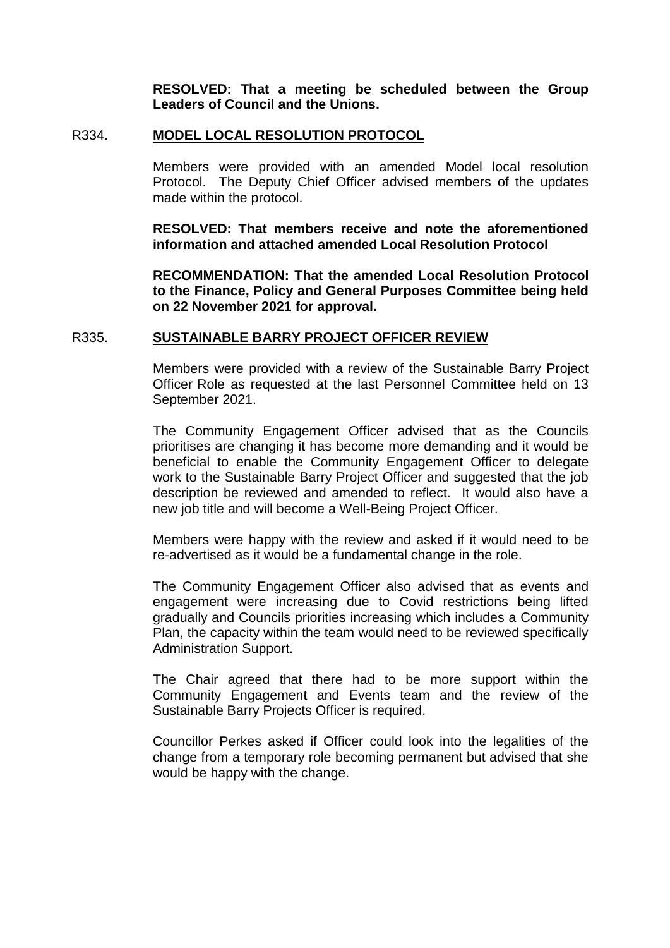**RESOLVED: That a meeting be scheduled between the Group Leaders of Council and the Unions.** 

#### R334. **MODEL LOCAL RESOLUTION PROTOCOL**

Members were provided with an amended Model local resolution Protocol. The Deputy Chief Officer advised members of the updates made within the protocol.

**RESOLVED: That members receive and note the aforementioned information and attached amended Local Resolution Protocol** 

**RECOMMENDATION: That the amended Local Resolution Protocol to the Finance, Policy and General Purposes Committee being held on 22 November 2021 for approval.** 

#### R335. **SUSTAINABLE BARRY PROJECT OFFICER REVIEW**

Members were provided with a review of the Sustainable Barry Project Officer Role as requested at the last Personnel Committee held on 13 September 2021.

The Community Engagement Officer advised that as the Councils prioritises are changing it has become more demanding and it would be beneficial to enable the Community Engagement Officer to delegate work to the Sustainable Barry Project Officer and suggested that the job description be reviewed and amended to reflect. It would also have a new job title and will become a Well-Being Project Officer.

Members were happy with the review and asked if it would need to be re-advertised as it would be a fundamental change in the role.

The Community Engagement Officer also advised that as events and engagement were increasing due to Covid restrictions being lifted gradually and Councils priorities increasing which includes a Community Plan, the capacity within the team would need to be reviewed specifically Administration Support.

The Chair agreed that there had to be more support within the Community Engagement and Events team and the review of the Sustainable Barry Projects Officer is required.

Councillor Perkes asked if Officer could look into the legalities of the change from a temporary role becoming permanent but advised that she would be happy with the change.